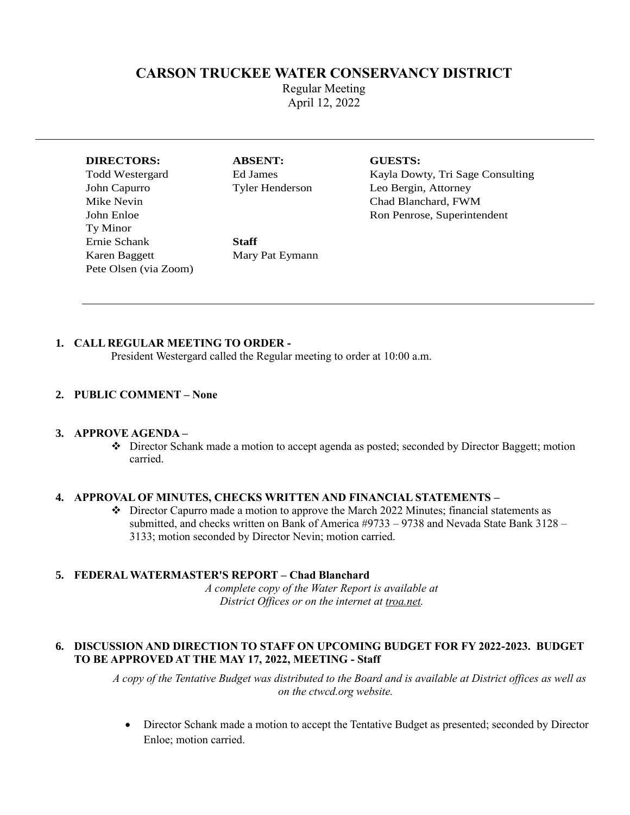# **CARSON TRUCKEE WATER CONSERVANCY DISTRICT**

Regular Meeting April 12, 2022

#### **DIRECTORS: ABSENT: GUESTS:**

Ty Minor Ernie Schank **Staff** Karen Baggett Mary Pat Eymann Pete Olsen (via Zoom)

Todd Westergard Ed James Ed Sage Consulting Rayla Dowty, Tri Sage Consulting John Capurro Tyler Henderson Leo Bergin, Attorney Mike Nevin **Chad Blanchard, FWM** John Enloe Ron Penrose, Superintendent

#### **1. CALL REGULAR MEETING TO ORDER -**

President Westergard called the Regular meeting to order at 10:00 a.m.

#### **2. PUBLIC COMMENT – None**

#### **3. APPROVE AGENDA –**

❖ Director Schank made a motion to accept agenda as posted; seconded by Director Baggett; motion carried.

#### **4. APPROVAL OF MINUTES, CHECKS WRITTEN AND FINANCIAL STATEMENTS –**

 $\cdot \cdot$  Director Capurro made a motion to approve the March 2022 Minutes; financial statements as submitted, and checks written on Bank of America #9733 – 9738 and Nevada State Bank 3128 – 3133; motion seconded by Director Nevin; motion carried.

#### **5. FEDERAL WATERMASTER'S REPORT – Chad Blanchard**

*A complete copy of the Water Report is available at District Offices or on the internet at troa.net.*

#### **6. DISCUSSION AND DIRECTION TO STAFF ON UPCOMING BUDGET FOR FY 2022-2023. BUDGET TO BE APPROVED AT THE MAY 17, 2022, MEETING - Staff**

*A copy of the Tentative Budget was distributed to the Board and is available at District offices as well as on the ctwcd.org website.*

• Director Schank made a motion to accept the Tentative Budget as presented; seconded by Director Enloe; motion carried.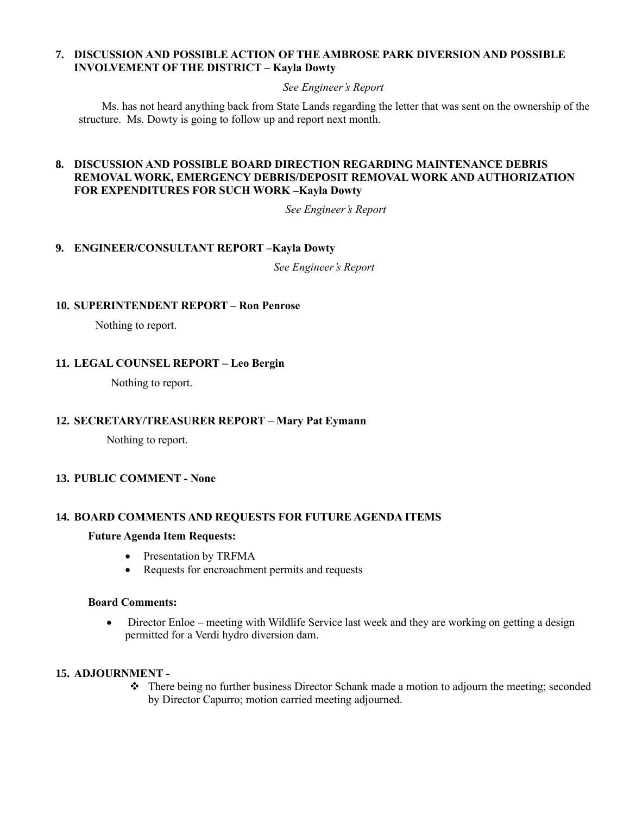## **7. DISCUSSION AND POSSIBLE ACTION OF THE AMBROSE PARK DIVERSION AND POSSIBLE INVOLVEMENT OF THE DISTRICT – Kayla Dowty**

### *See Engineer's Report*

Ms. has not heard anything back from State Lands regarding the letter that was sent on the ownership of the structure. Ms. Dowty is going to follow up and report next month.

## **8. DISCUSSION AND POSSIBLE BOARD DIRECTION REGARDING MAINTENANCE DEBRIS REMOVAL WORK, EMERGENCY DEBRIS/DEPOSIT REMOVAL WORK AND AUTHORIZATION FOR EXPENDITURES FOR SUCH WORK –Kayla Dowty**

*See Engineer's Report*

## **9. ENGINEER/CONSULTANT REPORT –Kayla Dowty**

*See Engineer's Report*

## **10. SUPERINTENDENT REPORT – Ron Penrose**

Nothing to report.

## **11. LEGAL COUNSEL REPORT – Leo Bergin**

Nothing to report.

## **12. SECRETARY/TREASURER REPORT – Mary Pat Eymann**

Nothing to report.

## **13. PUBLIC COMMENT - None**

## **14. BOARD COMMENTS AND REQUESTS FOR FUTURE AGENDA ITEMS**

#### **Future Agenda Item Requests:**

- Presentation by TRFMA
- Requests for encroachment permits and requests

### **Board Comments:**

• Director Enloe – meeting with Wildlife Service last week and they are working on getting a design permitted for a Verdi hydro diversion dam.

## **15. ADJOURNMENT -**

❖ There being no further business Director Schank made a motion to adjourn the meeting; seconded by Director Capurro; motion carried meeting adjourned.